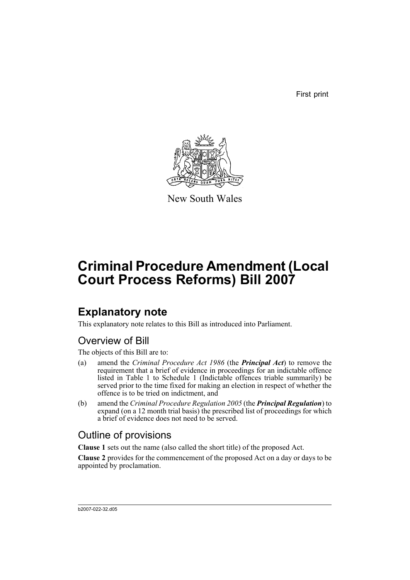First print



New South Wales

# **Criminal Procedure Amendment (Local Court Process Reforms) Bill 2007**

## **Explanatory note**

This explanatory note relates to this Bill as introduced into Parliament.

## Overview of Bill

The objects of this Bill are to:

- (a) amend the *Criminal Procedure Act 1986* (the *Principal Act*) to remove the requirement that a brief of evidence in proceedings for an indictable offence listed in Table 1 to Schedule 1 (Indictable offences triable summarily) be served prior to the time fixed for making an election in respect of whether the offence is to be tried on indictment, and
- (b) amend the *Criminal Procedure Regulation 2005* (the *Principal Regulation*) to expand (on a 12 month trial basis) the prescribed list of proceedings for which a brief of evidence does not need to be served.

## Outline of provisions

**Clause 1** sets out the name (also called the short title) of the proposed Act.

**Clause 2** provides for the commencement of the proposed Act on a day or days to be appointed by proclamation.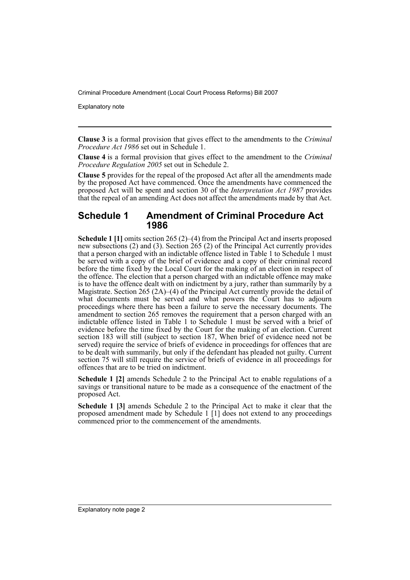Explanatory note

**Clause 3** is a formal provision that gives effect to the amendments to the *Criminal Procedure Act 1986* set out in Schedule 1.

**Clause 4** is a formal provision that gives effect to the amendment to the *Criminal Procedure Regulation 2005* set out in Schedule 2.

**Clause 5** provides for the repeal of the proposed Act after all the amendments made by the proposed Act have commenced. Once the amendments have commenced the proposed Act will be spent and section 30 of the *Interpretation Act 1987* provides that the repeal of an amending Act does not affect the amendments made by that Act.

#### **Schedule 1 Amendment of Criminal Procedure Act 1986**

**Schedule 1 [1]** omits section 265 (2)–(4) from the Principal Act and inserts proposed new subsections (2) and (3). Section 265 (2) of the Principal Act currently provides that a person charged with an indictable offence listed in Table 1 to Schedule 1 must be served with a copy of the brief of evidence and a copy of their criminal record before the time fixed by the Local Court for the making of an election in respect of the offence. The election that a person charged with an indictable offence may make is to have the offence dealt with on indictment by a jury, rather than summarily by a Magistrate. Section 265 (2A)–(4) of the Principal Act currently provide the detail of what documents must be served and what powers the Court has to adjourn proceedings where there has been a failure to serve the necessary documents. The amendment to section 265 removes the requirement that a person charged with an indictable offence listed in Table 1 to Schedule 1 must be served with a brief of evidence before the time fixed by the Court for the making of an election. Current section 183 will still (subject to section 187, When brief of evidence need not be served) require the service of briefs of evidence in proceedings for offences that are to be dealt with summarily, but only if the defendant has pleaded not guilty. Current section 75 will still require the service of briefs of evidence in all proceedings for offences that are to be tried on indictment.

**Schedule 1 [2]** amends Schedule 2 to the Principal Act to enable regulations of a savings or transitional nature to be made as a consequence of the enactment of the proposed Act.

**Schedule 1 [3]** amends Schedule 2 to the Principal Act to make it clear that the proposed amendment made by Schedule 1 [1] does not extend to any proceedings commenced prior to the commencement of the amendments.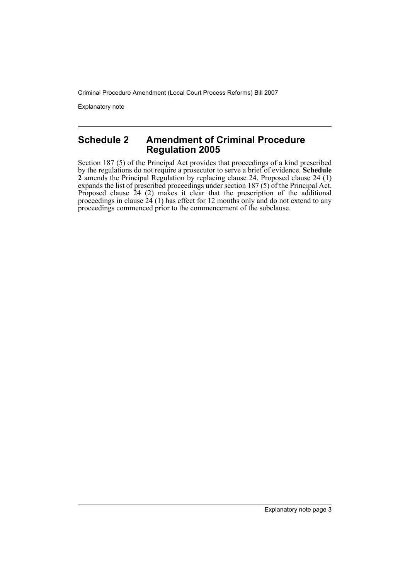Explanatory note

#### **Schedule 2 Amendment of Criminal Procedure Regulation 2005**

Section 187 (5) of the Principal Act provides that proceedings of a kind prescribed by the regulations do not require a prosecutor to serve a brief of evidence. **Schedule 2** amends the Principal Regulation by replacing clause 24. Proposed clause 24 (1) expands the list of prescribed proceedings under section 187 (5) of the Principal Act. Proposed clause 24 (2) makes it clear that the prescription of the additional proceedings in clause 24 (1) has effect for 12 months only and do not extend to any proceedings commenced prior to the commencement of the subclause.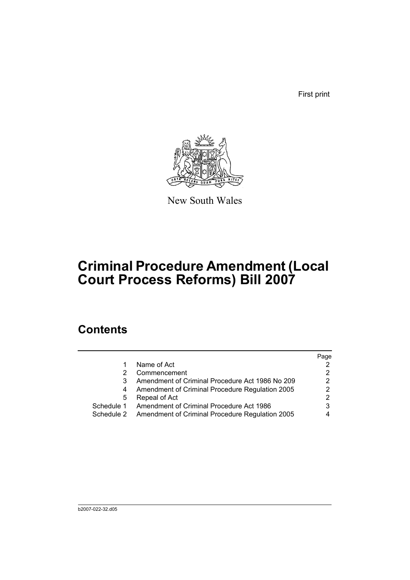First print



New South Wales

# **Criminal Procedure Amendment (Local Court Process Reforms) Bill 2007**

## **Contents**

|            |                                                 | Page |
|------------|-------------------------------------------------|------|
|            | Name of Act                                     |      |
|            | Commencement                                    | 2    |
|            | Amendment of Criminal Procedure Act 1986 No 209 | 2    |
| 4          | Amendment of Criminal Procedure Regulation 2005 | 2    |
| 5          | Repeal of Act                                   | 2    |
| Schedule 1 | Amendment of Criminal Procedure Act 1986        | 3    |
| Schedule 2 | Amendment of Criminal Procedure Regulation 2005 |      |
|            |                                                 |      |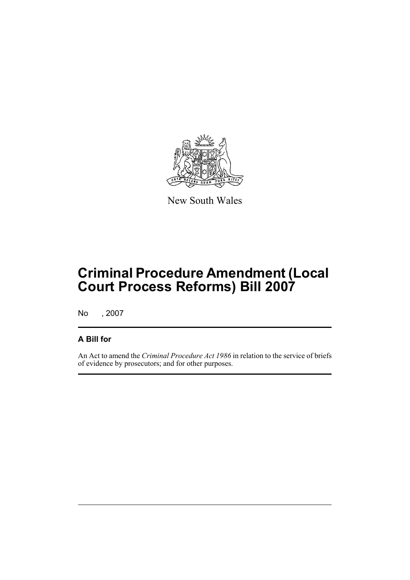

New South Wales

# **Criminal Procedure Amendment (Local Court Process Reforms) Bill 2007**

No , 2007

### **A Bill for**

An Act to amend the *Criminal Procedure Act 1986* in relation to the service of briefs of evidence by prosecutors; and for other purposes.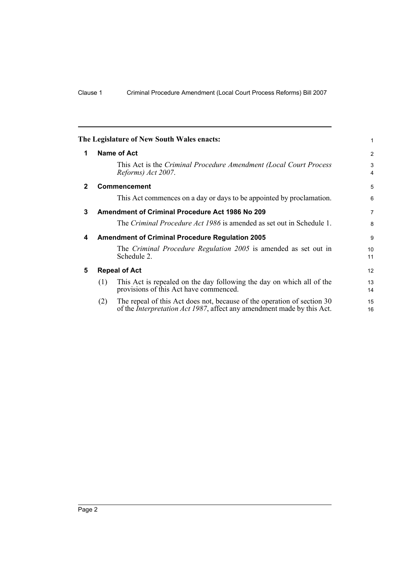<span id="page-7-4"></span><span id="page-7-3"></span><span id="page-7-2"></span><span id="page-7-1"></span><span id="page-7-0"></span>

|             |                                                        | The Legislature of New South Wales enacts:                                                                                                                | 1        |  |
|-------------|--------------------------------------------------------|-----------------------------------------------------------------------------------------------------------------------------------------------------------|----------|--|
| 1           |                                                        | <b>Name of Act</b>                                                                                                                                        | 2        |  |
|             |                                                        | This Act is the Criminal Procedure Amendment (Local Court Process<br>Reforms) Act 2007.                                                                   | 3<br>4   |  |
| $\mathbf 2$ |                                                        | Commencement                                                                                                                                              | 5        |  |
|             |                                                        | This Act commences on a day or days to be appointed by proclamation.                                                                                      | 6        |  |
| 3           | Amendment of Criminal Procedure Act 1986 No 209        |                                                                                                                                                           |          |  |
|             |                                                        | The <i>Criminal Procedure Act 1986</i> is amended as set out in Schedule 1.                                                                               | 8        |  |
| 4           | <b>Amendment of Criminal Procedure Regulation 2005</b> |                                                                                                                                                           |          |  |
|             |                                                        | The Criminal Procedure Regulation 2005 is amended as set out in<br>Schedule 2.                                                                            | 10<br>11 |  |
| 5           |                                                        | <b>Repeal of Act</b>                                                                                                                                      | 12       |  |
|             | (1)                                                    | This Act is repealed on the day following the day on which all of the<br>provisions of this Act have commenced.                                           | 13<br>14 |  |
|             | (2)                                                    | The repeal of this Act does not, because of the operation of section 30<br>of the <i>Interpretation Act 1987</i> , affect any amendment made by this Act. | 15<br>16 |  |
|             |                                                        |                                                                                                                                                           |          |  |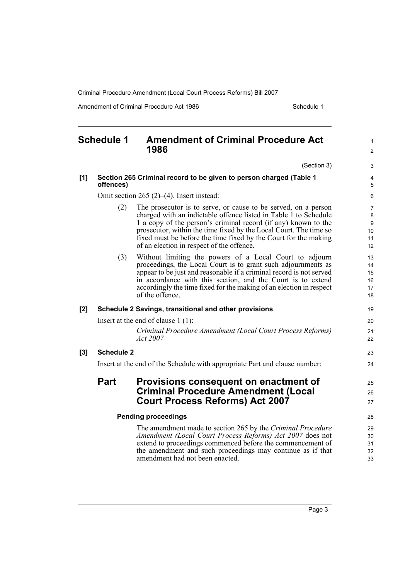Amendment of Criminal Procedure Act 1986 Schedule 1

<span id="page-8-0"></span>

| <b>Schedule 1</b>          |                                                                                 | <b>Amendment of Criminal Procedure Act</b><br>1986                                                                                                                                                                                                                                                                                                                                        | 1<br>$\overline{2}$                                |
|----------------------------|---------------------------------------------------------------------------------|-------------------------------------------------------------------------------------------------------------------------------------------------------------------------------------------------------------------------------------------------------------------------------------------------------------------------------------------------------------------------------------------|----------------------------------------------------|
|                            |                                                                                 | (Section 3)                                                                                                                                                                                                                                                                                                                                                                               | 3                                                  |
| [1]                        | Section 265 Criminal record to be given to person charged (Table 1<br>offences) |                                                                                                                                                                                                                                                                                                                                                                                           | 4<br>5                                             |
|                            |                                                                                 | Omit section $265$ (2)–(4). Insert instead:                                                                                                                                                                                                                                                                                                                                               | 6                                                  |
|                            | (2)                                                                             | The prosecutor is to serve, or cause to be served, on a person<br>charged with an indictable offence listed in Table 1 to Schedule<br>1 a copy of the person's criminal record (if any) known to the<br>prosecutor, within the time fixed by the Local Court. The time so<br>fixed must be before the time fixed by the Court for the making<br>of an election in respect of the offence. | 7<br>$\bf 8$<br>$\boldsymbol{9}$<br>10<br>11<br>12 |
|                            | (3)                                                                             | Without limiting the powers of a Local Court to adjourn<br>proceedings, the Local Court is to grant such adjournments as<br>appear to be just and reasonable if a criminal record is not served<br>in accordance with this section, and the Court is to extend<br>accordingly the time fixed for the making of an election in respect<br>of the offence.                                  | 13<br>14<br>15<br>16<br>17<br>18                   |
| $[2]$                      |                                                                                 | Schedule 2 Savings, transitional and other provisions                                                                                                                                                                                                                                                                                                                                     | 19                                                 |
|                            | Insert at the end of clause $1(1)$ :                                            |                                                                                                                                                                                                                                                                                                                                                                                           |                                                    |
|                            |                                                                                 | Criminal Procedure Amendment (Local Court Process Reforms)<br>Act 2007                                                                                                                                                                                                                                                                                                                    | 21<br>22                                           |
| [3]                        | <b>Schedule 2</b>                                                               |                                                                                                                                                                                                                                                                                                                                                                                           | 23                                                 |
|                            |                                                                                 | Insert at the end of the Schedule with appropriate Part and clause number:                                                                                                                                                                                                                                                                                                                | 24                                                 |
|                            | Part                                                                            | Provisions consequent on enactment of<br><b>Criminal Procedure Amendment (Local</b><br><b>Court Process Reforms) Act 2007</b>                                                                                                                                                                                                                                                             | 25<br>26<br>27                                     |
| <b>Pending proceedings</b> |                                                                                 |                                                                                                                                                                                                                                                                                                                                                                                           |                                                    |
|                            |                                                                                 | The amendment made to section 265 by the Criminal Procedure<br>Amendment (Local Court Process Reforms) Act 2007 does not<br>extend to proceedings commenced before the commencement of<br>the amendment and such proceedings may continue as if that<br>amendment had not been enacted.                                                                                                   | 29<br>30<br>31<br>32<br>33                         |